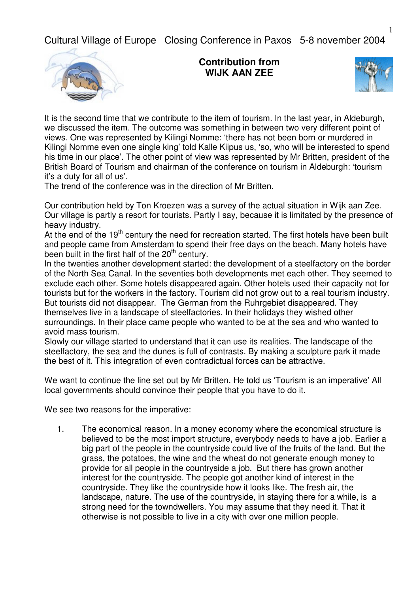Cultural Village of Europe Closing Conference in Paxos 5-8 november 2004



**Contribution from WIJK AAN ZEE**



It is the second time that we contribute to the item of tourism. In the last year, in Aldeburgh, we discussed the item. The outcome was something in between two very different point of views. One was represented by Kilingi Nomme: 'there has not been born or murdered in Kilingi Nomme even one single king' told Kalle Kiipus us, 'so, who will be interested to spend his time in our place'. The other point of view was represented by Mr Britten, president of the British Board of Tourism and chairman of the conference on tourism in Aldeburgh: 'tourism it's a duty for all of us'.

The trend of the conference was in the direction of Mr Britten.

Our contribution held by Ton Kroezen was a survey of the actual situation in Wijk aan Zee. Our village is partly a resort for tourists. Partly I say, because it is limitated by the presence of heavy industry.

At the end of the 19<sup>th</sup> century the need for recreation started. The first hotels have been built and people came from Amsterdam to spend their free days on the beach. Many hotels have been built in the first half of the 20<sup>th</sup> century.

In the twenties another development started: the development of a steelfactory on the border of the North Sea Canal. In the seventies both developments met each other. They seemed to exclude each other. Some hotels disappeared again. Other hotels used their capacity not for tourists but for the workers in the factory. Tourism did not grow out to a real tourism industry. But tourists did not disappear. The German from the Ruhrgebiet disappeared. They themselves live in a landscape of steelfactories. In their holidays they wished other surroundings. In their place came people who wanted to be at the sea and who wanted to avoid mass tourism.

Slowly our village started to understand that it can use its realities. The landscape of the steelfactory, the sea and the dunes is full of contrasts. By making a sculpture park it made the best of it. This integration of even contradictual forces can be attractive.

We want to continue the line set out by Mr Britten. He told us 'Tourism is an imperative' All local governments should convince their people that you have to do it.

We see two reasons for the imperative:

1. The economical reason. In a money economy where the economical structure is believed to be the most import structure, everybody needs to have a job. Earlier a big part of the people in the countryside could live of the fruits of the land. But the grass, the potatoes, the wine and the wheat do not generate enough money to provide for all people in the countryside a job. But there has grown another interest for the countryside. The people got another kind of interest in the countryside. They like the countryside how it looks like. The fresh air, the landscape, nature. The use of the countryside, in staying there for a while, is a strong need for the towndwellers. You may assume that they need it. That it otherwise is not possible to live in a city with over one million people.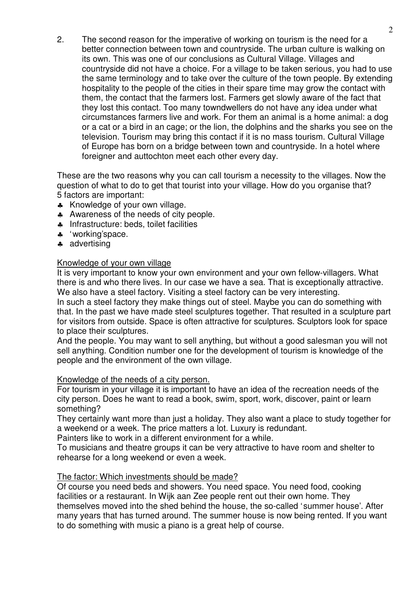2. The second reason for the imperative of working on tourism is the need for a better connection between town and countryside. The urban culture is walking on its own. This was one of our conclusions as Cultural Village. Villages and countryside did not have a choice. For a village to be taken serious, you had to use the same terminology and to take over the culture of the town people. By extending hospitality to the people of the cities in their spare time may grow the contact with them, the contact that the farmers lost. Farmers get slowly aware of the fact that they lost this contact. Too many towndwellers do not have any idea under what circumstances farmers live and work. For them an animal is a home animal: a dog or a cat or a bird in an cage; or the lion, the dolphins and the sharks you see on the television. Tourism may bring this contact if it is no mass tourism. Cultural Village of Europe has born on a bridge between town and countryside. In a hotel where foreigner and auttochton meet each other every day.

These are the two reasons why you can call tourism a necessity to the villages. Now the question of what to do to get that tourist into your village. How do you organise that? 5 factors are important:

- ♣ Knowledge of your own village.
- ♣ Awareness of the needs of city people.
- ♣ Infrastructure: beds, toilet facilities
- ♣ 'working'space.
- ♣ advertising

# Knowledge of your own village

It is very important to know your own environment and your own fellow-villagers. What there is and who there lives. In our case we have a sea. That is exceptionally attractive. We also have a steel factory. Visiting a steel factory can be very interesting.

In such a steel factory they make things out of steel. Maybe you can do something with that. In the past we have made steel sculptures together. That resulted in a sculpture part for visitors from outside. Space is often attractive for sculptures. Sculptors look for space to place their sculptures.

And the people. You may want to sell anything, but without a good salesman you will not sell anything. Condition number one for the development of tourism is knowledge of the people and the environment of the own village.

# Knowledge of the needs of a city person.

For tourism in your village it is important to have an idea of the recreation needs of the city person. Does he want to read a book, swim, sport, work, discover, paint or learn something?

They certainly want more than just a holiday. They also want a place to study together for a weekend or a week. The price matters a lot. Luxury is redundant.

Painters like to work in a different environment for a while.

To musicians and theatre groups it can be very attractive to have room and shelter to rehearse for a long weekend or even a week.

# The factor: Which investments should be made?

Of course you need beds and showers. You need space. You need food, cooking facilities or a restaurant. In Wijk aan Zee people rent out their own home. They themselves moved into the shed behind the house, the so-called 'summer house'. After many years that has turned around. The summer house is now being rented. If you want to do something with music a piano is a great help of course.